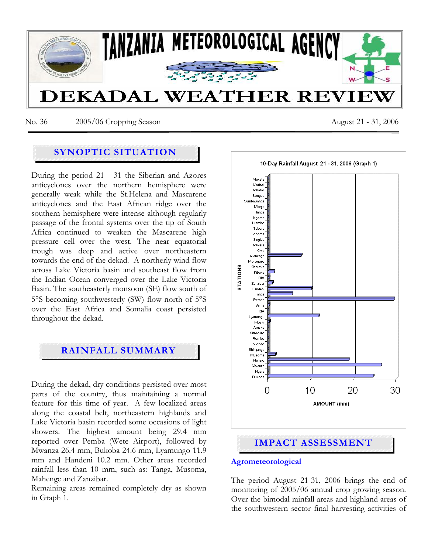

No. 36 2005/06 Cropping Season August 21 - 31, 2006

# **SYNOPTIC SITUATION**

During the period 21 - 31 the Siberian and Azores anticyclones over the northern hemisphere were generally weak while the St.Helena and Mascarene anticyclones and the East African ridge over the southern hemisphere were intense although regularly passage of the frontal systems over the tip of South Africa continued to weaken the Mascarene high pressure cell over the west. The near equatorial trough was deep and active over northeastern towards the end of the dekad. A northerly wind flow across Lake Victoria basin and southeast flow from the Indian Ocean converged over the Lake Victoria Basin. The southeasterly monsoon (SE) flow south of 5°S becoming southwesterly (SW) flow north of 5°S over the East Africa and Somalia coast persisted throughout the dekad.

# **RAINFALL SUMMARY**

During the dekad, dry conditions persisted over most parts of the country, thus maintaining a normal feature for this time of year. A few localized areas along the coastal belt, northeastern highlands and Lake Victoria basin recorded some occasions of light showers. The highest amount being 29.4 mm reported over Pemba (Wete Airport), followed by Mwanza 26.4 mm, Bukoba 24.6 mm, Lyamungo 11.9 mm and Handeni 10.2 mm. Other areas recorded rainfall less than 10 mm, such as: Tanga, Musoma, Mahenge and Zanzibar.

Remaining areas remained completely dry as shown in Graph 1.



#### **Agrometeorological**

The period August 21-31, 2006 brings the end of monitoring of 2005/06 annual crop growing season. Over the bimodal rainfall areas and highland areas of the southwestern sector final harvesting activities of